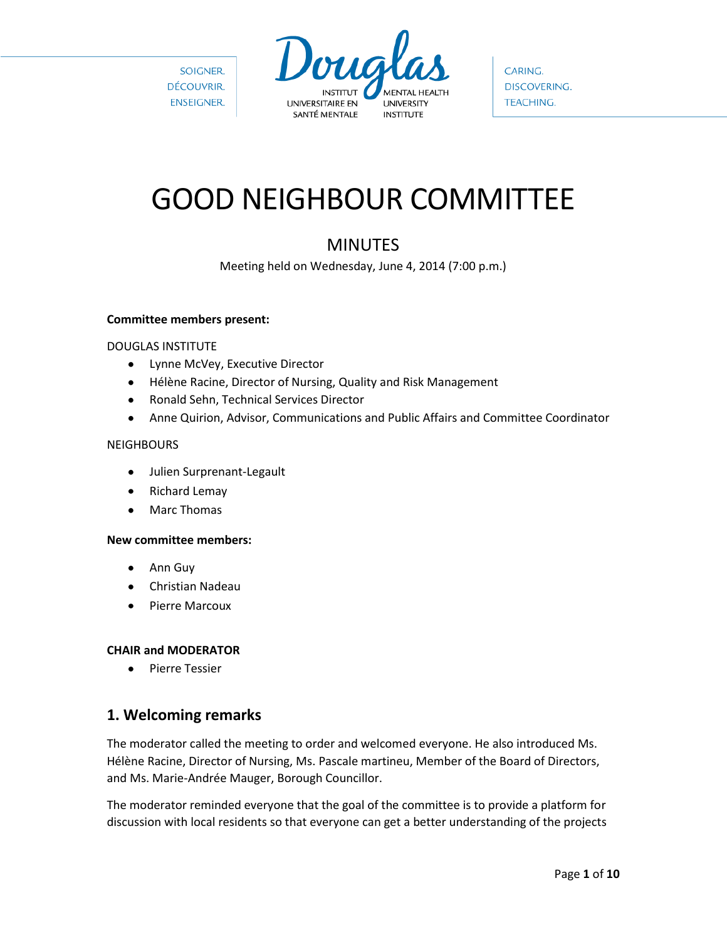

CARING. DISCOVERING. **TEACHING.** 

# GOOD NEIGHBOUR COMMITTEE

## MINUTES

Meeting held on Wednesday, June 4, 2014 (7:00 p.m.)

#### **Committee members present:**

#### DOUGLAS INSTITUTE

- Lynne McVey, Executive Director
- Hélène Racine, Director of Nursing, Quality and Risk Management
- Ronald Sehn, Technical Services Director  $\bullet$
- Anne Quirion, Advisor, Communications and Public Affairs and Committee Coordinator  $\bullet$

#### **NEIGHBOURS**

- Julien Surprenant-Legault
- Richard Lemay  $\bullet$
- $\bullet$ Marc Thomas

#### **New committee members:**

- Ann Guy  $\bullet$
- Christian Nadeau  $\bullet$
- Pierre Marcoux

#### **CHAIR and MODERATOR**

Pierre Tessier  $\bullet$ 

## **1. Welcoming remarks**

The moderator called the meeting to order and welcomed everyone. He also introduced Ms. Hélène Racine, Director of Nursing, Ms. Pascale martineu, Member of the Board of Directors, and Ms. Marie-Andrée Mauger, Borough Councillor.

The moderator reminded everyone that the goal of the committee is to provide a platform for discussion with local residents so that everyone can get a better understanding of the projects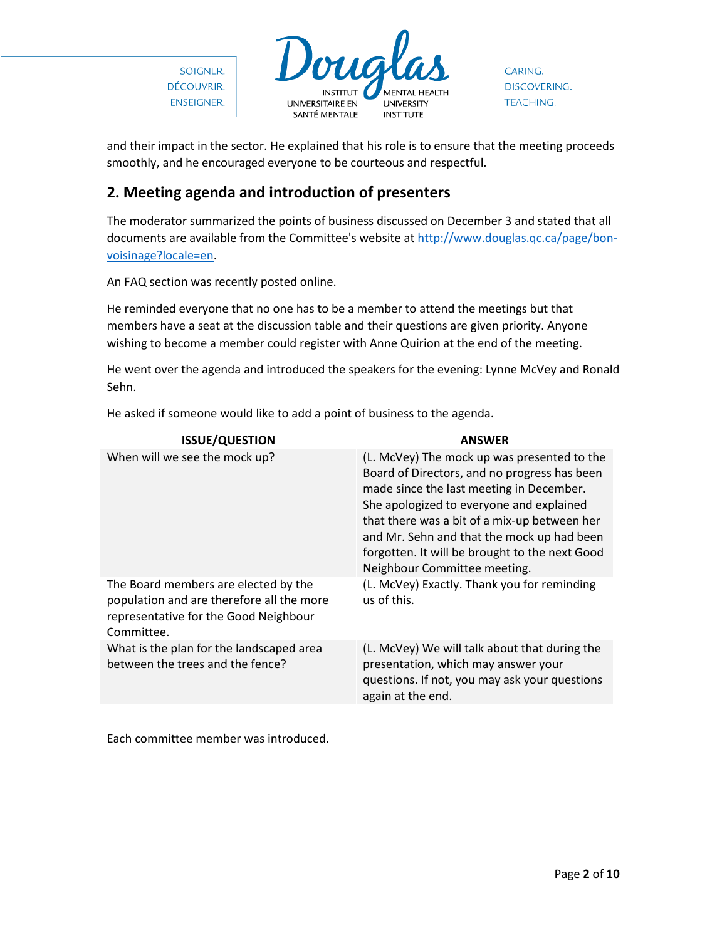

CARING. DISCOVERING. **TEACHING.** 

and their impact in the sector. He explained that his role is to ensure that the meeting proceeds smoothly, and he encouraged everyone to be courteous and respectful.

## **2. Meeting agenda and introduction of presenters**

The moderator summarized the points of business discussed on December 3 and stated that all documents are available from the Committee's website a[t http://www.douglas.qc.ca/page/bon](http://www.douglas.qc.ca/page/bon-voisinage?locale=en)[voisinage?locale=en.](http://www.douglas.qc.ca/page/bon-voisinage?locale=en)

An FAQ section was recently posted online.

He reminded everyone that no one has to be a member to attend the meetings but that members have a seat at the discussion table and their questions are given priority. Anyone wishing to become a member could register with Anne Quirion at the end of the meeting.

He went over the agenda and introduced the speakers for the evening: Lynne McVey and Ronald Sehn.

| <b>ISSUE/QUESTION</b>                                                                                                                    | <b>ANSWER</b>                                                                                                                                                                                                                                                                                                                                                       |
|------------------------------------------------------------------------------------------------------------------------------------------|---------------------------------------------------------------------------------------------------------------------------------------------------------------------------------------------------------------------------------------------------------------------------------------------------------------------------------------------------------------------|
| When will we see the mock up?                                                                                                            | (L. McVey) The mock up was presented to the<br>Board of Directors, and no progress has been<br>made since the last meeting in December.<br>She apologized to everyone and explained<br>that there was a bit of a mix-up between her<br>and Mr. Sehn and that the mock up had been<br>forgotten. It will be brought to the next Good<br>Neighbour Committee meeting. |
| The Board members are elected by the<br>population and are therefore all the more<br>representative for the Good Neighbour<br>Committee. | (L. McVey) Exactly. Thank you for reminding<br>us of this.                                                                                                                                                                                                                                                                                                          |
| What is the plan for the landscaped area<br>between the trees and the fence?                                                             | (L. McVey) We will talk about that during the<br>presentation, which may answer your<br>questions. If not, you may ask your questions<br>again at the end.                                                                                                                                                                                                          |

He asked if someone would like to add a point of business to the agenda.

Each committee member was introduced.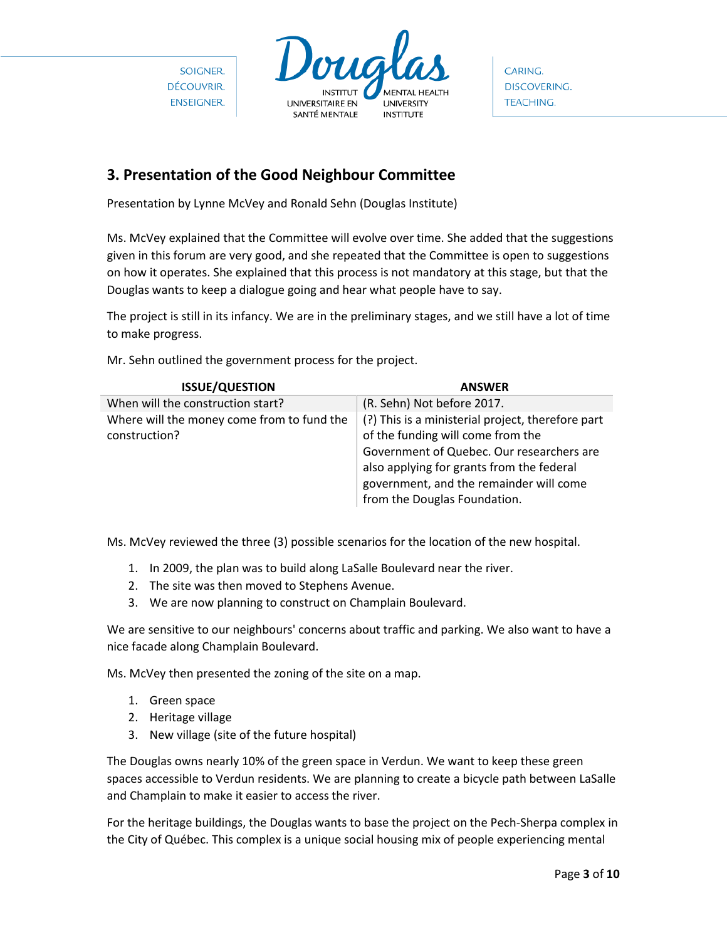

CARING. **DISCOVERING. TEACHING.** 

## **3. Presentation of the Good Neighbour Committee**

Presentation by Lynne McVey and Ronald Sehn (Douglas Institute)

Ms. McVey explained that the Committee will evolve over time. She added that the suggestions given in this forum are very good, and she repeated that the Committee is open to suggestions on how it operates. She explained that this process is not mandatory at this stage, but that the Douglas wants to keep a dialogue going and hear what people have to say.

The project is still in its infancy. We are in the preliminary stages, and we still have a lot of time to make progress.

Mr. Sehn outlined the government process for the project.

| <b>ISSUE/QUESTION</b>                                       | <b>ANSWER</b>                                                                                                                                                                                                                                               |
|-------------------------------------------------------------|-------------------------------------------------------------------------------------------------------------------------------------------------------------------------------------------------------------------------------------------------------------|
| When will the construction start?                           | (R. Sehn) Not before 2017.                                                                                                                                                                                                                                  |
| Where will the money come from to fund the<br>construction? | (?) This is a ministerial project, therefore part<br>of the funding will come from the<br>Government of Quebec. Our researchers are<br>also applying for grants from the federal<br>government, and the remainder will come<br>from the Douglas Foundation. |

Ms. McVey reviewed the three (3) possible scenarios for the location of the new hospital.

- 1. In 2009, the plan was to build along LaSalle Boulevard near the river.
- 2. The site was then moved to Stephens Avenue.
- 3. We are now planning to construct on Champlain Boulevard.

We are sensitive to our neighbours' concerns about traffic and parking. We also want to have a nice facade along Champlain Boulevard.

Ms. McVey then presented the zoning of the site on a map.

- 1. Green space
- 2. Heritage village
- 3. New village (site of the future hospital)

The Douglas owns nearly 10% of the green space in Verdun. We want to keep these green spaces accessible to Verdun residents. We are planning to create a bicycle path between LaSalle and Champlain to make it easier to access the river.

For the heritage buildings, the Douglas wants to base the project on the Pech-Sherpa complex in the City of Québec. This complex is a unique social housing mix of people experiencing mental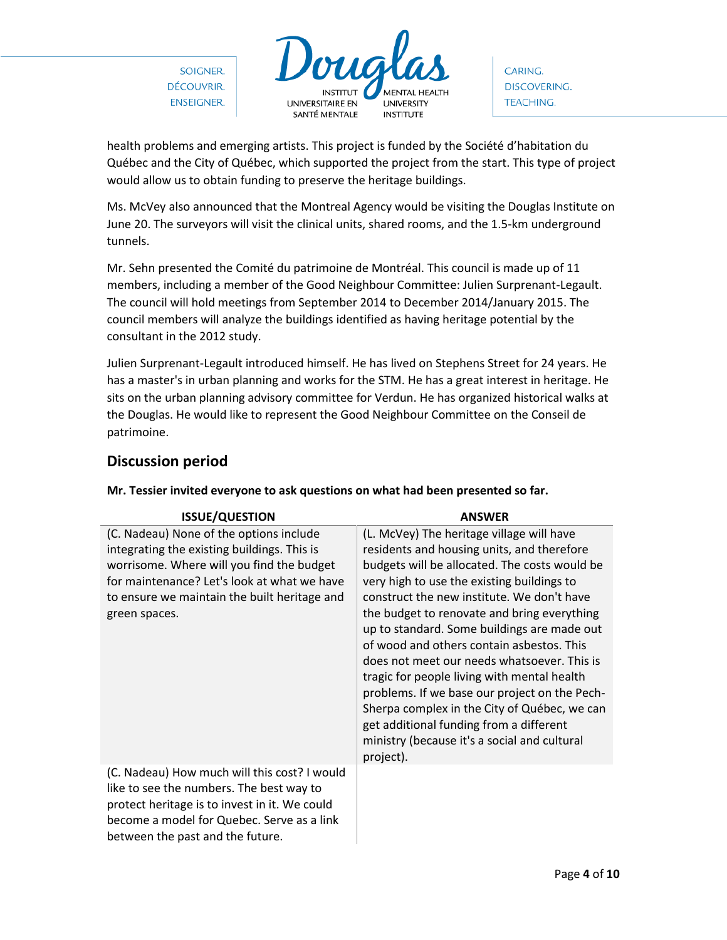

CARING. **DISCOVERING. TEACHING.** 

health problems and emerging artists. This project is funded by the Société d'habitation du Québec and the City of Québec, which supported the project from the start. This type of project would allow us to obtain funding to preserve the heritage buildings.

Ms. McVey also announced that the Montreal Agency would be visiting the Douglas Institute on June 20. The surveyors will visit the clinical units, shared rooms, and the 1.5-km underground tunnels.

Mr. Sehn presented the Comité du patrimoine de Montréal. This council is made up of 11 members, including a member of the Good Neighbour Committee: Julien Surprenant-Legault. The council will hold meetings from September 2014 to December 2014/January 2015. The council members will analyze the buildings identified as having heritage potential by the consultant in the 2012 study.

Julien Surprenant-Legault introduced himself. He has lived on Stephens Street for 24 years. He has a master's in urban planning and works for the STM. He has a great interest in heritage. He sits on the urban planning advisory committee for Verdun. He has organized historical walks at the Douglas. He would like to represent the Good Neighbour Committee on the Conseil de patrimoine.

## **Discussion period**

| <b>ISSUE/QUESTION</b>                                                                                                                                                                                                                               | <b>ANSWER</b>                                                                                                                                                                                                                                                                                                                                                                                                                                                                                                                                                                                                                                                                          |
|-----------------------------------------------------------------------------------------------------------------------------------------------------------------------------------------------------------------------------------------------------|----------------------------------------------------------------------------------------------------------------------------------------------------------------------------------------------------------------------------------------------------------------------------------------------------------------------------------------------------------------------------------------------------------------------------------------------------------------------------------------------------------------------------------------------------------------------------------------------------------------------------------------------------------------------------------------|
| (C. Nadeau) None of the options include<br>integrating the existing buildings. This is<br>worrisome. Where will you find the budget<br>for maintenance? Let's look at what we have<br>to ensure we maintain the built heritage and<br>green spaces. | (L. McVey) The heritage village will have<br>residents and housing units, and therefore<br>budgets will be allocated. The costs would be<br>very high to use the existing buildings to<br>construct the new institute. We don't have<br>the budget to renovate and bring everything<br>up to standard. Some buildings are made out<br>of wood and others contain asbestos. This<br>does not meet our needs whatsoever. This is<br>tragic for people living with mental health<br>problems. If we base our project on the Pech-<br>Sherpa complex in the City of Québec, we can<br>get additional funding from a different<br>ministry (because it's a social and cultural<br>project). |
| (C. Nadeau) How much will this cost? I would<br>like to see the numbers. The best way to<br>protect heritage is to invest in it. We could<br>become a model for Quebec. Serve as a link<br>between the past and the future.                         |                                                                                                                                                                                                                                                                                                                                                                                                                                                                                                                                                                                                                                                                                        |

#### **Mr. Tessier invited everyone to ask questions on what had been presented so far.**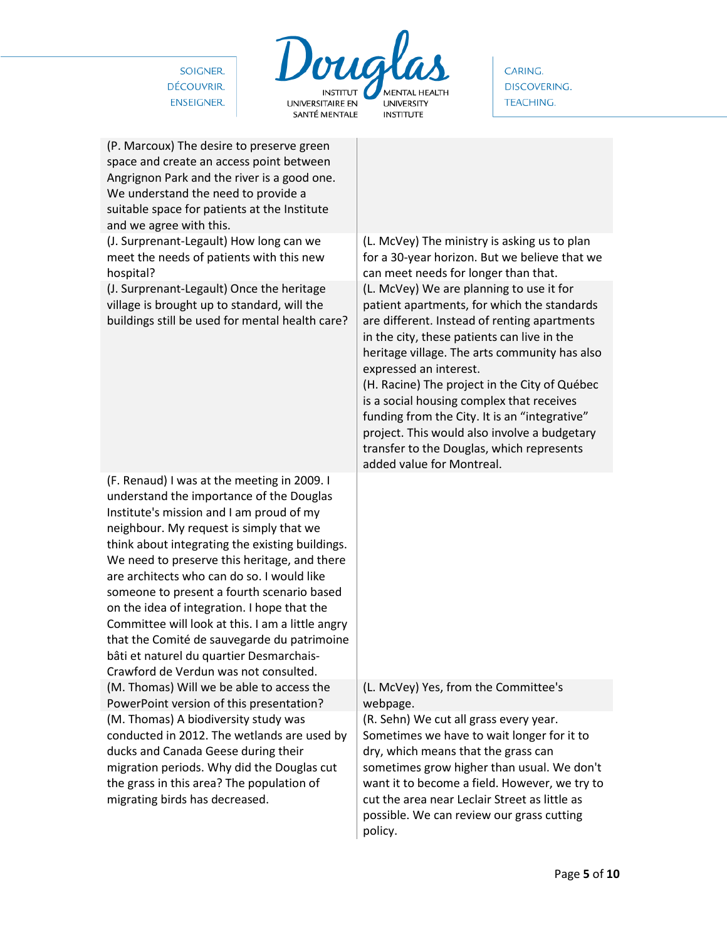

CARING. DISCOVERING. TEACHING.

| (P. Marcoux) The desire to preserve green<br>space and create an access point between<br>Angrignon Park and the river is a good one.<br>We understand the need to provide a<br>suitable space for patients at the Institute<br>and we agree with this.                                                                                                                                                                                                                                                                                                                                                               |                                                                                                                                                                                                                                                                                                                                                                                                                                                                                                                                                                                                                                                                                     |
|----------------------------------------------------------------------------------------------------------------------------------------------------------------------------------------------------------------------------------------------------------------------------------------------------------------------------------------------------------------------------------------------------------------------------------------------------------------------------------------------------------------------------------------------------------------------------------------------------------------------|-------------------------------------------------------------------------------------------------------------------------------------------------------------------------------------------------------------------------------------------------------------------------------------------------------------------------------------------------------------------------------------------------------------------------------------------------------------------------------------------------------------------------------------------------------------------------------------------------------------------------------------------------------------------------------------|
| (J. Surprenant-Legault) How long can we<br>meet the needs of patients with this new<br>hospital?<br>(J. Surprenant-Legault) Once the heritage<br>village is brought up to standard, will the<br>buildings still be used for mental health care?                                                                                                                                                                                                                                                                                                                                                                      | (L. McVey) The ministry is asking us to plan<br>for a 30-year horizon. But we believe that we<br>can meet needs for longer than that.<br>(L. McVey) We are planning to use it for<br>patient apartments, for which the standards<br>are different. Instead of renting apartments<br>in the city, these patients can live in the<br>heritage village. The arts community has also<br>expressed an interest.<br>(H. Racine) The project in the City of Québec<br>is a social housing complex that receives<br>funding from the City. It is an "integrative"<br>project. This would also involve a budgetary<br>transfer to the Douglas, which represents<br>added value for Montreal. |
| (F. Renaud) I was at the meeting in 2009. I<br>understand the importance of the Douglas<br>Institute's mission and I am proud of my<br>neighbour. My request is simply that we<br>think about integrating the existing buildings.<br>We need to preserve this heritage, and there<br>are architects who can do so. I would like<br>someone to present a fourth scenario based<br>on the idea of integration. I hope that the<br>Committee will look at this. I am a little angry<br>that the Comité de sauvegarde du patrimoine<br>bâti et naturel du quartier Desmarchais-<br>Crawford de Verdun was not consulted. |                                                                                                                                                                                                                                                                                                                                                                                                                                                                                                                                                                                                                                                                                     |
| (M. Thomas) Will we be able to access the<br>PowerPoint version of this presentation?                                                                                                                                                                                                                                                                                                                                                                                                                                                                                                                                | (L. McVey) Yes, from the Committee's<br>webpage.                                                                                                                                                                                                                                                                                                                                                                                                                                                                                                                                                                                                                                    |
| (M. Thomas) A biodiversity study was<br>conducted in 2012. The wetlands are used by<br>ducks and Canada Geese during their<br>migration periods. Why did the Douglas cut<br>the grass in this area? The population of<br>migrating birds has decreased.                                                                                                                                                                                                                                                                                                                                                              | (R. Sehn) We cut all grass every year.<br>Sometimes we have to wait longer for it to<br>dry, which means that the grass can<br>sometimes grow higher than usual. We don't<br>want it to become a field. However, we try to<br>cut the area near Leclair Street as little as<br>possible. We can review our grass cutting<br>policy.                                                                                                                                                                                                                                                                                                                                                 |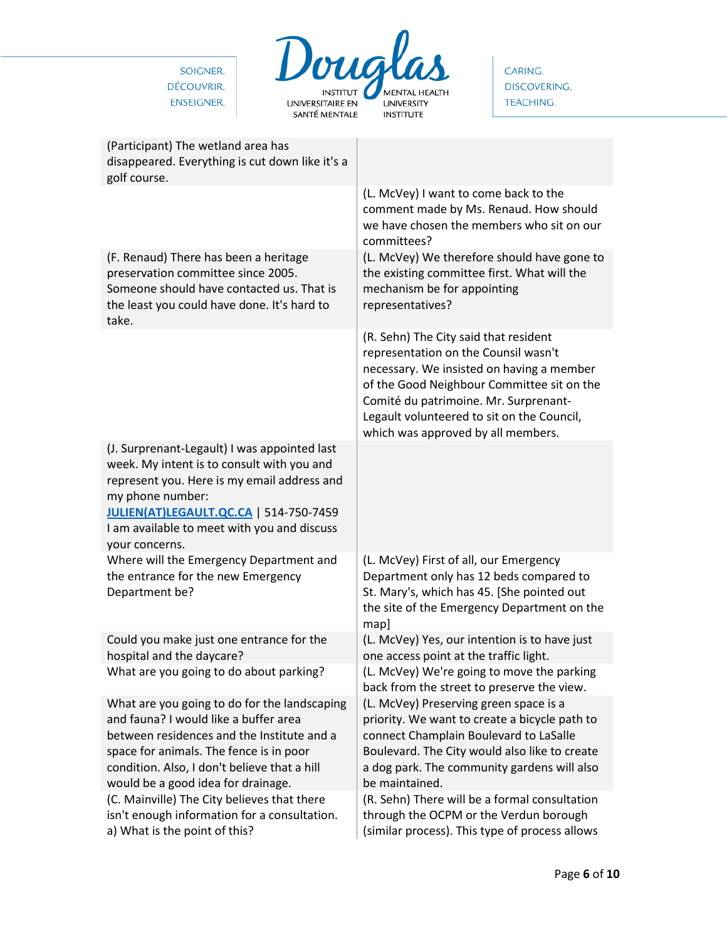

CARING. **DISCOVERING.** TEACHING.

| (Participant) The wetland area has<br>disappeared. Everything is cut down like it's a<br>golf course.                                                                                                                                                                    |                                                                                                                                                                                                                                                                                                       |
|--------------------------------------------------------------------------------------------------------------------------------------------------------------------------------------------------------------------------------------------------------------------------|-------------------------------------------------------------------------------------------------------------------------------------------------------------------------------------------------------------------------------------------------------------------------------------------------------|
|                                                                                                                                                                                                                                                                          | (L. McVey) I want to come back to the<br>comment made by Ms. Renaud. How should<br>we have chosen the members who sit on our<br>committees?                                                                                                                                                           |
| (F. Renaud) There has been a heritage<br>preservation committee since 2005.<br>Someone should have contacted us. That is<br>the least you could have done. It's hard to<br>take.                                                                                         | (L. McVey) We therefore should have gone to<br>the existing committee first. What will the<br>mechanism be for appointing<br>representatives?                                                                                                                                                         |
|                                                                                                                                                                                                                                                                          | (R. Sehn) The City said that resident<br>representation on the Counsil wasn't<br>necessary. We insisted on having a member<br>of the Good Neighbour Committee sit on the<br>Comité du patrimoine. Mr. Surprenant-<br>Legault volunteered to sit on the Council,<br>which was approved by all members. |
| (J. Surprenant-Legault) I was appointed last<br>week. My intent is to consult with you and<br>represent you. Here is my email address and<br>my phone number:<br>JULIEN(AT)LEGAULT.QC.CA   514-750-7459<br>I am available to meet with you and discuss<br>your concerns. |                                                                                                                                                                                                                                                                                                       |
| Where will the Emergency Department and<br>the entrance for the new Emergency<br>Department be?                                                                                                                                                                          | (L. McVey) First of all, our Emergency<br>Department only has 12 beds compared to<br>St. Mary's, which has 45. [She pointed out<br>the site of the Emergency Department on the<br>map]                                                                                                                |
| Could you make just one entrance for the<br>hospital and the daycare?                                                                                                                                                                                                    | (L. McVey) Yes, our intention is to have just<br>one access point at the traffic light.                                                                                                                                                                                                               |
| What are you going to do about parking?                                                                                                                                                                                                                                  | (L. McVey) We're going to move the parking<br>back from the street to preserve the view.                                                                                                                                                                                                              |
| What are you going to do for the landscaping<br>and fauna? I would like a buffer area<br>between residences and the Institute and a<br>space for animals. The fence is in poor<br>condition. Also, I don't believe that a hill<br>would be a good idea for drainage.     | (L. McVey) Preserving green space is a<br>priority. We want to create a bicycle path to<br>connect Champlain Boulevard to LaSalle<br>Boulevard. The City would also like to create<br>a dog park. The community gardens will also<br>be maintained.                                                   |
| (C. Mainville) The City believes that there<br>isn't enough information for a consultation.<br>a) What is the point of this?                                                                                                                                             | (R. Sehn) There will be a formal consultation<br>through the OCPM or the Verdun borough<br>(similar process). This type of process allows                                                                                                                                                             |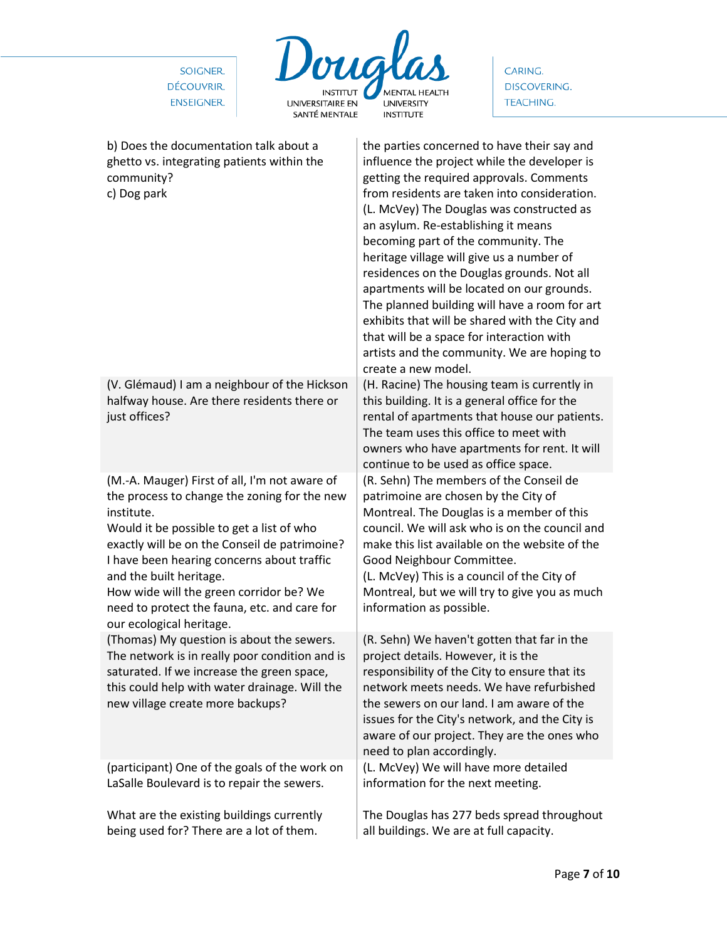

CARING. **DISCOVERING.** TEACHING.

| b) Does the documentation talk about a<br>ghetto vs. integrating patients within the<br>community?<br>c) Dog park                                                                                                                                                                                                                                                                                         | the parties concerned to have their say and<br>influence the project while the developer is<br>getting the required approvals. Comments<br>from residents are taken into consideration.<br>(L. McVey) The Douglas was constructed as<br>an asylum. Re-establishing it means<br>becoming part of the community. The<br>heritage village will give us a number of<br>residences on the Douglas grounds. Not all<br>apartments will be located on our grounds.<br>The planned building will have a room for art<br>exhibits that will be shared with the City and<br>that will be a space for interaction with<br>artists and the community. We are hoping to<br>create a new model. |
|-----------------------------------------------------------------------------------------------------------------------------------------------------------------------------------------------------------------------------------------------------------------------------------------------------------------------------------------------------------------------------------------------------------|-----------------------------------------------------------------------------------------------------------------------------------------------------------------------------------------------------------------------------------------------------------------------------------------------------------------------------------------------------------------------------------------------------------------------------------------------------------------------------------------------------------------------------------------------------------------------------------------------------------------------------------------------------------------------------------|
| (V. Glémaud) I am a neighbour of the Hickson<br>halfway house. Are there residents there or<br>just offices?                                                                                                                                                                                                                                                                                              | (H. Racine) The housing team is currently in<br>this building. It is a general office for the<br>rental of apartments that house our patients.<br>The team uses this office to meet with<br>owners who have apartments for rent. It will<br>continue to be used as office space.                                                                                                                                                                                                                                                                                                                                                                                                  |
| (M.-A. Mauger) First of all, I'm not aware of<br>the process to change the zoning for the new<br>institute.<br>Would it be possible to get a list of who<br>exactly will be on the Conseil de patrimoine?<br>I have been hearing concerns about traffic<br>and the built heritage.<br>How wide will the green corridor be? We<br>need to protect the fauna, etc. and care for<br>our ecological heritage. | (R. Sehn) The members of the Conseil de<br>patrimoine are chosen by the City of<br>Montreal. The Douglas is a member of this<br>council. We will ask who is on the council and<br>make this list available on the website of the<br>Good Neighbour Committee.<br>(L. McVey) This is a council of the City of<br>Montreal, but we will try to give you as much<br>information as possible.                                                                                                                                                                                                                                                                                         |
| (Thomas) My question is about the sewers.<br>The network is in really poor condition and is<br>saturated. If we increase the green space,<br>this could help with water drainage. Will the<br>new village create more backups?                                                                                                                                                                            | (R. Sehn) We haven't gotten that far in the<br>project details. However, it is the<br>responsibility of the City to ensure that its<br>network meets needs. We have refurbished<br>the sewers on our land. I am aware of the<br>issues for the City's network, and the City is<br>aware of our project. They are the ones who<br>need to plan accordingly.                                                                                                                                                                                                                                                                                                                        |
| (participant) One of the goals of the work on<br>LaSalle Boulevard is to repair the sewers.                                                                                                                                                                                                                                                                                                               | (L. McVey) We will have more detailed<br>information for the next meeting.                                                                                                                                                                                                                                                                                                                                                                                                                                                                                                                                                                                                        |
| What are the existing buildings currently<br>being used for? There are a lot of them.                                                                                                                                                                                                                                                                                                                     | The Douglas has 277 beds spread throughout<br>all buildings. We are at full capacity.                                                                                                                                                                                                                                                                                                                                                                                                                                                                                                                                                                                             |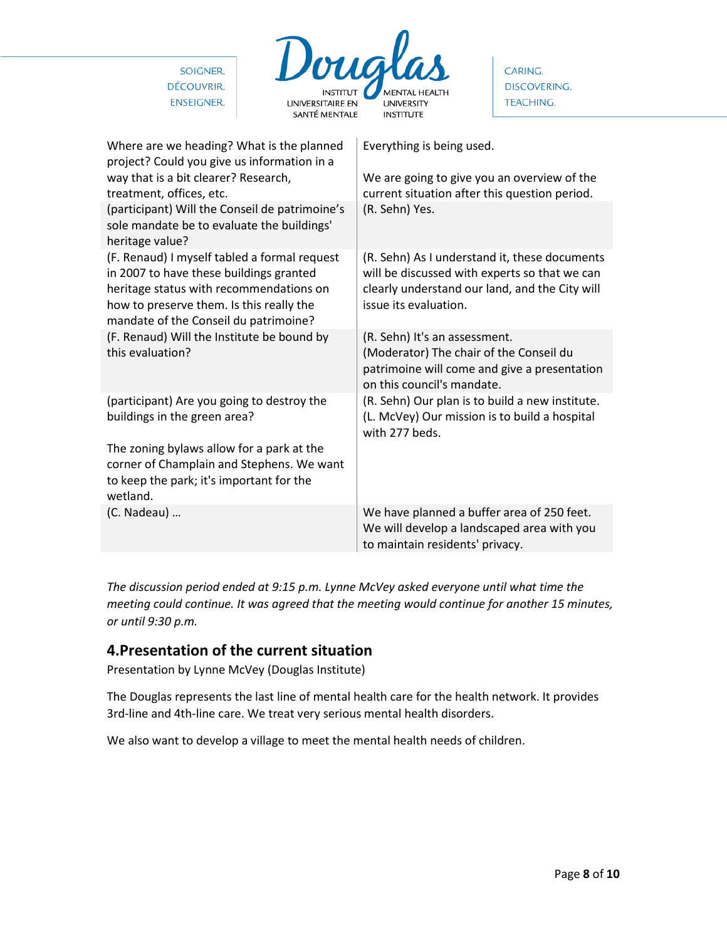| Doug<br>SOIGNER.<br>DÉCOUVRIR.<br><b>ENSEIGNER.</b><br><b>UNIVERSITAIRE EN</b><br>SANTÉ MENTALE                                                                                                                         | <b>MENTAL HEALTH</b><br><b>UNIVERSITY</b><br><b>INSTITUTE</b>                                                                                                             | CARING.<br><b>DISCOVERING.</b><br><b>TEACHING.</b> |  |
|-------------------------------------------------------------------------------------------------------------------------------------------------------------------------------------------------------------------------|---------------------------------------------------------------------------------------------------------------------------------------------------------------------------|----------------------------------------------------|--|
| Where are we heading? What is the planned<br>project? Could you give us information in a<br>way that is a bit clearer? Research,<br>treatment, offices, etc.                                                            | Everything is being used.<br>We are going to give you an overview of the<br>current situation after this question period.                                                 |                                                    |  |
| (participant) Will the Conseil de patrimoine's<br>sole mandate be to evaluate the buildings'<br>heritage value?                                                                                                         | (R. Sehn) Yes.                                                                                                                                                            |                                                    |  |
| (F. Renaud) I myself tabled a formal request<br>in 2007 to have these buildings granted<br>heritage status with recommendations on<br>how to preserve them. Is this really the<br>mandate of the Conseil du patrimoine? | (R. Sehn) As I understand it, these documents<br>will be discussed with experts so that we can<br>clearly understand our land, and the City will<br>issue its evaluation. |                                                    |  |
| (F. Renaud) Will the Institute be bound by<br>this evaluation?                                                                                                                                                          | (R. Sehn) It's an assessment.<br>(Moderator) The chair of the Conseil du<br>patrimoine will come and give a presentation<br>on this council's mandate.                    |                                                    |  |
| (participant) Are you going to destroy the<br>buildings in the green area?<br>The zoning bylaws allow for a park at the                                                                                                 | (R. Sehn) Our plan is to build a new institute.<br>(L. McVey) Our mission is to build a hospital<br>with 277 beds.                                                        |                                                    |  |
| corner of Champlain and Stephens. We want<br>to keep the park; it's important for the<br>wetland.                                                                                                                       |                                                                                                                                                                           |                                                    |  |
| (C. Nadeau)                                                                                                                                                                                                             | We have planned a buffer area of 250 feet.<br>We will develop a landscaped area with you<br>to maintain residents' privacy.                                               |                                                    |  |

*The discussion period ended at 9:15 p.m. Lynne McVey asked everyone until what time the meeting could continue. It was agreed that the meeting would continue for another 15 minutes, or until 9:30 p.m.*

## **4.Presentation of the current situation**

Presentation by Lynne McVey (Douglas Institute)

The Douglas represents the last line of mental health care for the health network. It provides 3rd-line and 4th-line care. We treat very serious mental health disorders.

We also want to develop a village to meet the mental health needs of children.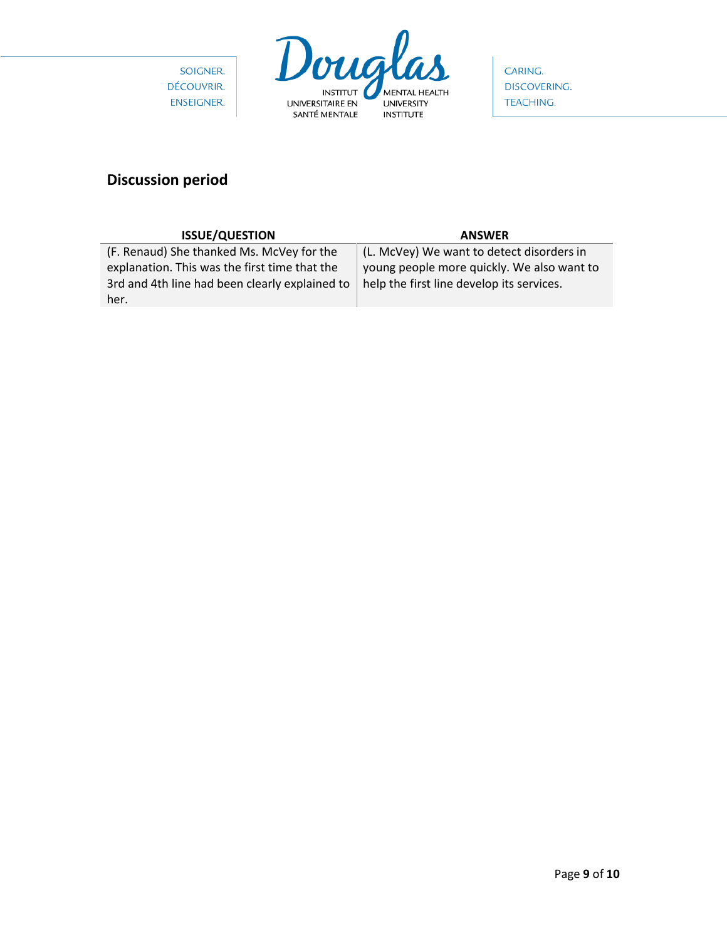



CARING. **DISCOVERING.** TEACHING.

# **Discussion period**

| <b>ANSWER</b>                                  |
|------------------------------------------------|
| (L. McVey) We want to detect disorders in      |
| young people more quickly. We also want to     |
| help the first line develop its services.      |
|                                                |
| 3rd and 4th line had been clearly explained to |